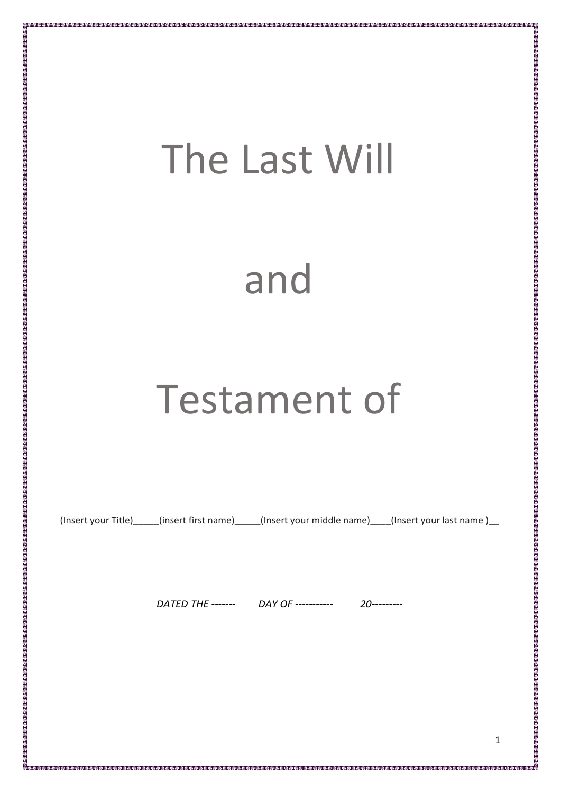## The Last Will

## and

## Testament of

(Insert your Title) (insert first name) (Insert your middle name) (Insert your last name )

*DATED THE ------- DAY OF ----------- 20---------*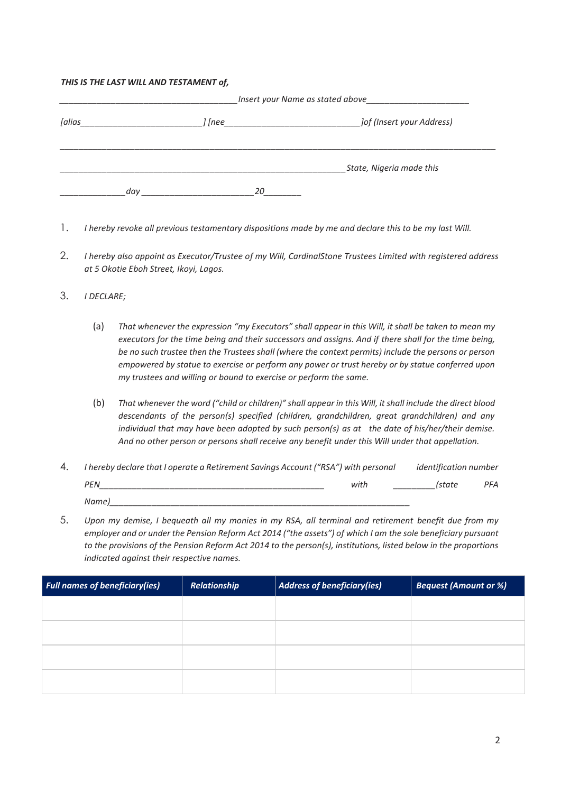## *THIS IS THE LAST WILL AND TESTAMENT of,*

| [alias |     |        |                           |  |
|--------|-----|--------|---------------------------|--|
|        |     | ] [nee | Jof (Insert your Address) |  |
|        |     |        | State, Nigeria made this  |  |
|        | dav | 20     |                           |  |

- 1. *I hereby revoke all previous testamentary dispositions made by me and declare this to be my last Will.*
- 2. *I hereby also appoint as Executor/Trustee of my Will, CardinalStone Trustees Limited with registered address at 5 Okotie Eboh Street, Ikoyi, Lagos.*
- 3. *I DECLARE;*
	- (a) *That whenever the expression "my Executors" shall appear in this Will, it shall be taken to mean my executors for the time being and their successors and assigns. And if there shall for the time being, be no such trustee then the Trustees shall (where the context permits) include the persons or person empowered by statue to exercise or perform any power or trust hereby or by statue conferred upon my trustees and willing or bound to exercise or perform the same.*
	- (b) *That whenever the word ("child or children)" shall appear in this Will, it shall include the direct blood descendants of the person(s) specified (children, grandchildren, great grandchildren) and any individual that may have been adopted by such person(s) as at the date of his/her/their demise. And no other person or persons shall receive any benefit under this Will under that appellation.*
- 4. *I hereby declare that I operate a Retirement Savings Account ("RSA") with personal identification number PEN\_\_\_\_\_\_\_\_\_\_\_\_\_\_\_\_\_\_\_\_\_\_\_\_\_\_\_\_\_\_\_\_\_\_\_\_\_\_\_\_\_\_\_\_\_\_\_\_ with \_\_\_\_\_\_\_\_\_(state PFA Name)\_\_\_\_\_\_\_\_\_\_\_\_\_\_\_\_\_\_\_\_\_\_\_\_\_\_\_\_\_\_\_\_\_\_\_\_\_\_\_\_\_\_\_\_\_\_\_\_\_\_\_\_\_\_\_\_\_\_\_\_\_\_\_\_*
- 5. *Upon my demise, I bequeath all my monies in my RSA, all terminal and retirement benefit due from my employer and or under the Pension Reform Act 2014 ("the assets") of which I am the sole beneficiary pursuant to the provisions of the Pension Reform Act 2014 to the person(s), institutions, listed below in the proportions indicated against their respective names.*

| <b>Full names of beneficiary(ies)</b> | Relationship | Address of beneficiary(ies) | <b>Bequest (Amount or %)</b> |
|---------------------------------------|--------------|-----------------------------|------------------------------|
|                                       |              |                             |                              |
|                                       |              |                             |                              |
|                                       |              |                             |                              |
|                                       |              |                             |                              |
|                                       |              |                             |                              |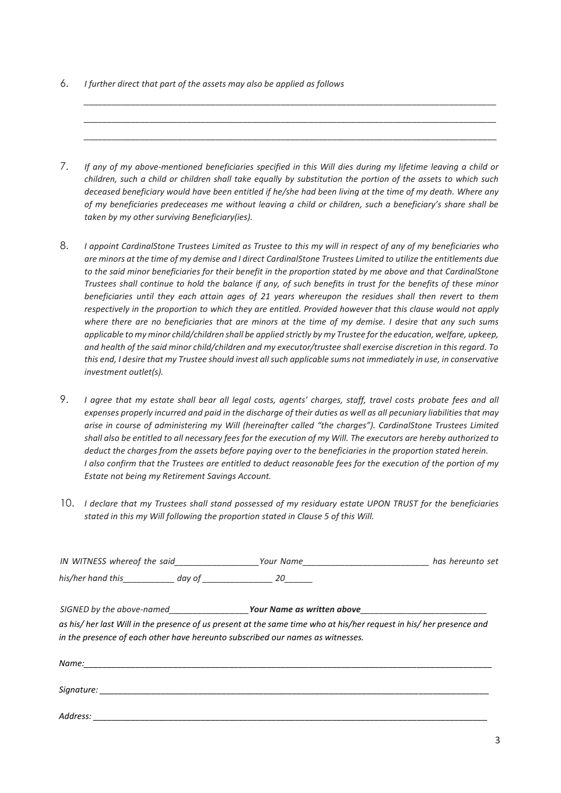6. *I further direct that part of the assets may also be applied as follows*

7. *If any of my above-mentioned beneficiaries specified in this Will dies during my lifetime leaving a child or children, such a child or children shall take equally by substitution the portion of the assets to which such deceased beneficiary would have been entitled if he/she had been living at the time of my death. Where any of my beneficiaries predeceases me without leaving a child or children, such a beneficiary's share shall be taken by my other surviving Beneficiary(ies).*

*\_\_\_\_\_\_\_\_\_\_\_\_\_\_\_\_\_\_\_\_\_\_\_\_\_\_\_\_\_\_\_\_\_\_\_\_\_\_\_\_\_\_\_\_\_\_\_\_\_\_\_\_\_\_\_\_\_\_\_\_\_\_\_\_\_\_\_\_\_\_\_\_\_\_\_\_\_\_\_\_\_\_\_\_\_\_\_\_ \_\_\_\_\_\_\_\_\_\_\_\_\_\_\_\_\_\_\_\_\_\_\_\_\_\_\_\_\_\_\_\_\_\_\_\_\_\_\_\_\_\_\_\_\_\_\_\_\_\_\_\_\_\_\_\_\_\_\_\_\_\_\_\_\_\_\_\_\_\_\_\_\_\_\_\_\_\_\_\_\_\_\_\_\_\_\_\_ \_\_\_\_\_\_\_\_\_\_\_\_\_\_\_\_\_\_\_\_\_\_\_\_\_\_\_\_\_\_\_\_\_\_\_\_\_\_\_\_\_\_\_\_\_\_\_\_\_\_\_\_\_\_\_\_\_\_\_\_\_\_\_\_\_\_\_\_\_\_\_\_\_\_\_\_\_\_\_\_\_\_\_\_\_\_\_\_*

- 8. *I appoint CardinalStone Trustees Limited as Trustee to this my will in respect of any of my beneficiaries who are minors at the time of my demise and I direct CardinalStone Trustees Limited to utilize the entitlements due to the said minor beneficiaries for their benefit in the proportion stated by me above and that CardinalStone Trustees shall continue to hold the balance if any, of such benefits in trust for the benefits of these minor beneficiaries until they each attain ages of 21 years whereupon the residues shall then revert to them respectively in the proportion to which they are entitled. Provided however that this clause would not apply where there are no beneficiaries that are minors at the time of my demise. I desire that any such sums applicable to my minor child/children shall be applied strictly by my Trustee for the education, welfare, upkeep, and health of the said minor child/children and my executor/trustee shall exercise discretion in this regard. To this end, I desire that my Trustee should invest all such applicable sums not immediately in use, in conservative investment outlet(s).*
- 9. *I agree that my estate shall bear all legal costs, agents' charges, staff, travel costs probate fees and all expenses properly incurred and paid in the discharge of their duties as well as all pecuniary liabilities that may arise in course of administering my Will (hereinafter called "the charges"). CardinalStone Trustees Limited shall also be entitled to all necessary fees for the execution of my Will. The executors are hereby authorized to deduct the charges from the assets before paying over to the beneficiaries in the proportion stated herein. I also confirm that the Trustees are entitled to deduct reasonable fees for the execution of the portion of my Estate not being my Retirement Savings Account.*
- 10. *I declare that my Trustees shall stand possessed of my residuary estate UPON TRUST for the beneficiaries stated in this my Will following the proportion stated in Clause 5 of this Will.*

| IN WITNESS whereof the said____________________Your Name________________________                                                                                                                                               | has hereunto set |
|--------------------------------------------------------------------------------------------------------------------------------------------------------------------------------------------------------------------------------|------------------|
| his/her hand this day of 20                                                                                                                                                                                                    |                  |
|                                                                                                                                                                                                                                |                  |
| as his/ her last Will in the presence of us present at the same time who at his/her request in his/ her presence and<br>in the presence of each other have hereunto subscribed our names as witnesses.                         |                  |
|                                                                                                                                                                                                                                |                  |
| Signature: the contract of the contract of the contract of the contract of the contract of the contract of the contract of the contract of the contract of the contract of the contract of the contract of the contract of the |                  |
| Address: Annual Communication of the communication of the communication of the communication of the communication of the communication of the communication of the communication of the communication of the communication of  |                  |